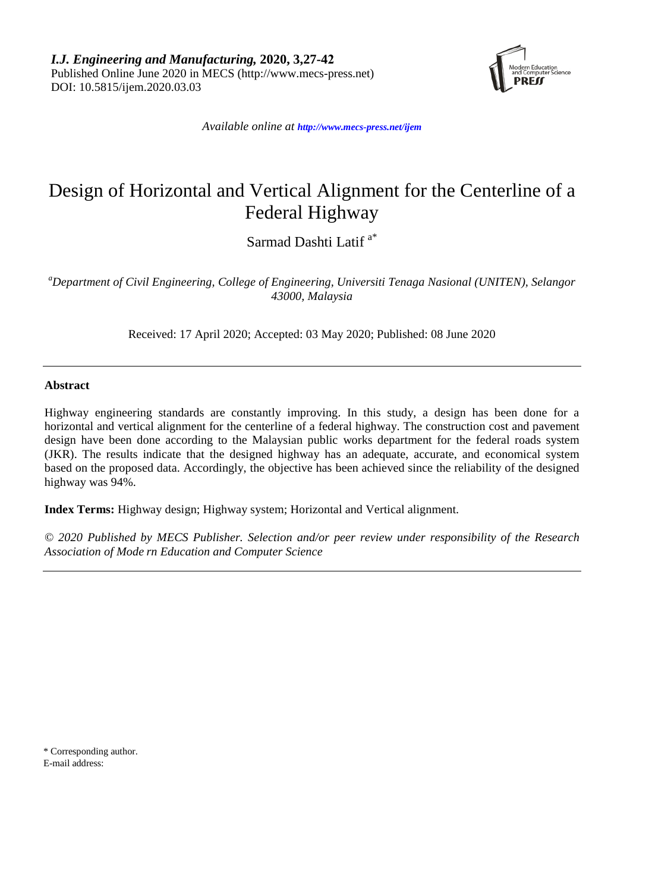*I.J. Engineering and Manufacturing,* **2020, 3,27-42**  Published Online June 2020 in MECS (http://www.mecs-press.net) DOI: 10.5815/ijem.2020.03.03



*Available online at <http://www.mecs-press.net/ijem>*

# Design of Horizontal and Vertical Alignment for the Centerline of a Federal Highway

Sarmad Dashti Latif a\*

*a Department of Civil Engineering, College of Engineering, Universiti Tenaga Nasional (UNITEN), Selangor 43000, Malaysia*

Received: 17 April 2020; Accepted: 03 May 2020; Published: 08 June 2020

# **Abstract**

Highway engineering standards are constantly improving. In this study, a design has been done for a horizontal and vertical alignment for the centerline of a federal highway. The construction cost and pavement design have been done according to the Malaysian public works department for the federal roads system (JKR). The results indicate that the designed highway has an adequate, accurate, and economical system based on the proposed data. Accordingly, the objective has been achieved since the reliability of the designed highway was 94%.

**Index Terms:** Highway design; Highway system; Horizontal and Vertical alignment.

*© 2020 Published by MECS Publisher. Selection and/or peer review under responsibility of the Research Association of Mode rn Education and Computer Science*

\* Corresponding author. E-mail address: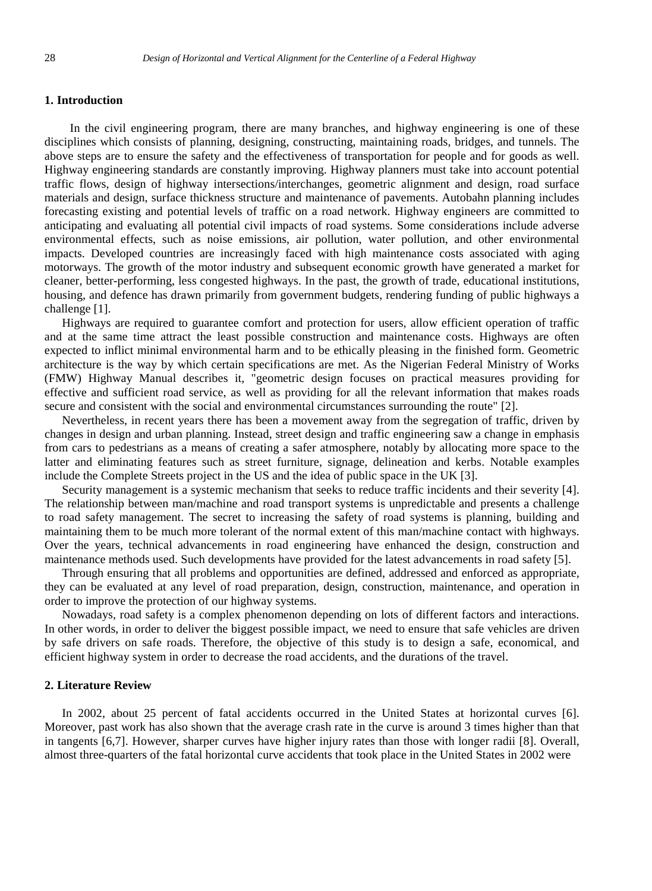# **1. Introduction**

In the civil engineering program, there are many branches, and highway engineering is one of these disciplines which consists of planning, designing, constructing, maintaining roads, bridges, and tunnels. The above steps are to ensure the safety and the effectiveness of transportation for people and for goods as well. Highway engineering standards are constantly improving. Highway planners must take into account potential traffic flows, design of highway intersections/interchanges, geometric alignment and design, road surface materials and design, surface thickness structure and maintenance of pavements. Autobahn planning includes forecasting existing and potential levels of traffic on a road network. Highway engineers are committed to anticipating and evaluating all potential civil impacts of road systems. Some considerations include adverse environmental effects, such as noise emissions, air pollution, water pollution, and other environmental impacts. Developed countries are increasingly faced with high maintenance costs associated with aging motorways. The growth of the motor industry and subsequent economic growth have generated a market for cleaner, better-performing, less congested highways. In the past, the growth of trade, educational institutions, housing, and defence has drawn primarily from government budgets, rendering funding of public highways a challenge [1].

Highways are required to guarantee comfort and protection for users, allow efficient operation of traffic and at the same time attract the least possible construction and maintenance costs. Highways are often expected to inflict minimal environmental harm and to be ethically pleasing in the finished form. Geometric architecture is the way by which certain specifications are met. As the Nigerian Federal Ministry of Works (FMW) Highway Manual describes it, "geometric design focuses on practical measures providing for effective and sufficient road service, as well as providing for all the relevant information that makes roads secure and consistent with the social and environmental circumstances surrounding the route" [2].

Nevertheless, in recent years there has been a movement away from the segregation of traffic, driven by changes in design and urban planning. Instead, street design and traffic engineering saw a change in emphasis from cars to pedestrians as a means of creating a safer atmosphere, notably by allocating more space to the latter and eliminating features such as street furniture, signage, delineation and kerbs. Notable examples include the Complete Streets project in the US and the idea of public space in the UK [3].

Security management is a systemic mechanism that seeks to reduce traffic incidents and their severity [4]. The relationship between man/machine and road transport systems is unpredictable and presents a challenge to road safety management. The secret to increasing the safety of road systems is planning, building and maintaining them to be much more tolerant of the normal extent of this man/machine contact with highways. Over the years, technical advancements in road engineering have enhanced the design, construction and maintenance methods used. Such developments have provided for the latest advancements in road safety [5].

Through ensuring that all problems and opportunities are defined, addressed and enforced as appropriate, they can be evaluated at any level of road preparation, design, construction, maintenance, and operation in order to improve the protection of our highway systems.

Nowadays, road safety is a complex phenomenon depending on lots of different factors and interactions. In other words, in order to deliver the biggest possible impact, we need to ensure that safe vehicles are driven by safe drivers on safe roads. Therefore, the objective of this study is to design a safe, economical, and efficient highway system in order to decrease the road accidents, and the durations of the travel.

# **2. Literature Review**

In 2002, about 25 percent of fatal accidents occurred in the United States at horizontal curves [6]. Moreover, past work has also shown that the average crash rate in the curve is around 3 times higher than that in tangents [6,7]. However, sharper curves have higher injury rates than those with longer radii [8]. Overall, almost three-quarters of the fatal horizontal curve accidents that took place in the United States in 2002 were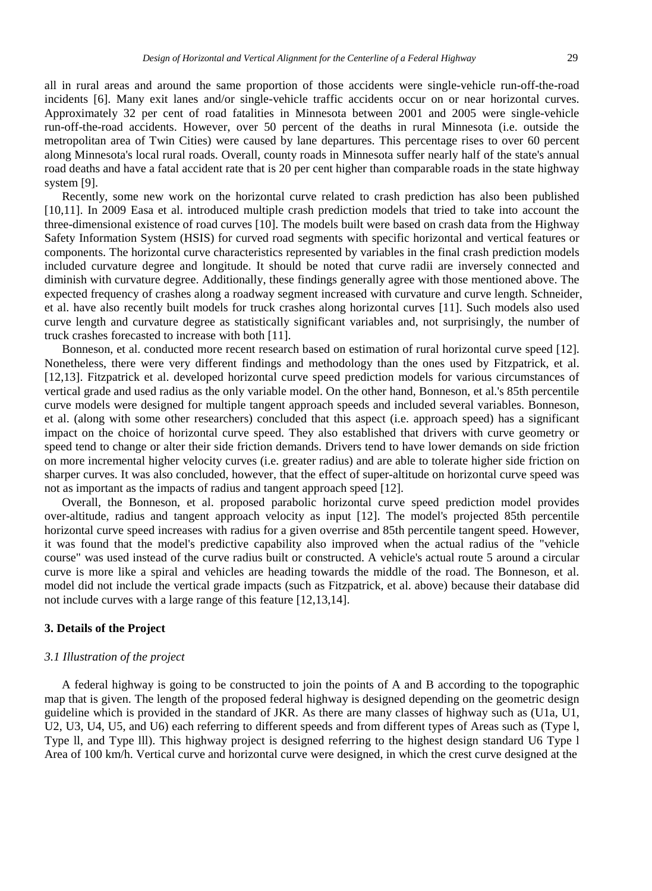all in rural areas and around the same proportion of those accidents were single-vehicle run-off-the-road incidents [6]. Many exit lanes and/or single-vehicle traffic accidents occur on or near horizontal curves. Approximately 32 per cent of road fatalities in Minnesota between 2001 and 2005 were single-vehicle run-off-the-road accidents. However, over 50 percent of the deaths in rural Minnesota (i.e. outside the metropolitan area of Twin Cities) were caused by lane departures. This percentage rises to over 60 percent along Minnesota's local rural roads. Overall, county roads in Minnesota suffer nearly half of the state's annual road deaths and have a fatal accident rate that is 20 per cent higher than comparable roads in the state highway system [9].

Recently, some new work on the horizontal curve related to crash prediction has also been published [10,11]. In 2009 Easa et al. introduced multiple crash prediction models that tried to take into account the three-dimensional existence of road curves [10]. The models built were based on crash data from the Highway Safety Information System (HSIS) for curved road segments with specific horizontal and vertical features or components. The horizontal curve characteristics represented by variables in the final crash prediction models included curvature degree and longitude. It should be noted that curve radii are inversely connected and diminish with curvature degree. Additionally, these findings generally agree with those mentioned above. The expected frequency of crashes along a roadway segment increased with curvature and curve length. Schneider, et al. have also recently built models for truck crashes along horizontal curves [11]. Such models also used curve length and curvature degree as statistically significant variables and, not surprisingly, the number of truck crashes forecasted to increase with both [11].

Bonneson, et al. conducted more recent research based on estimation of rural horizontal curve speed [12]. Nonetheless, there were very different findings and methodology than the ones used by Fitzpatrick, et al. [12,13]. Fitzpatrick et al. developed horizontal curve speed prediction models for various circumstances of vertical grade and used radius as the only variable model. On the other hand, Bonneson, et al.'s 85th percentile curve models were designed for multiple tangent approach speeds and included several variables. Bonneson, et al. (along with some other researchers) concluded that this aspect (i.e. approach speed) has a significant impact on the choice of horizontal curve speed. They also established that drivers with curve geometry or speed tend to change or alter their side friction demands. Drivers tend to have lower demands on side friction on more incremental higher velocity curves (i.e. greater radius) and are able to tolerate higher side friction on sharper curves. It was also concluded, however, that the effect of super-altitude on horizontal curve speed was not as important as the impacts of radius and tangent approach speed [12].

Overall, the Bonneson, et al. proposed parabolic horizontal curve speed prediction model provides over-altitude, radius and tangent approach velocity as input [12]. The model's projected 85th percentile horizontal curve speed increases with radius for a given overrise and 85th percentile tangent speed. However, it was found that the model's predictive capability also improved when the actual radius of the "vehicle course" was used instead of the curve radius built or constructed. A vehicle's actual route 5 around a circular curve is more like a spiral and vehicles are heading towards the middle of the road. The Bonneson, et al. model did not include the vertical grade impacts (such as Fitzpatrick, et al. above) because their database did not include curves with a large range of this feature [12,13,14].

# **3. Details of the Project**

#### *3.1 Illustration of the project*

A federal highway is going to be constructed to join the points of A and B according to the topographic map that is given. The length of the proposed federal highway is designed depending on the geometric design guideline which is provided in the standard of JKR. As there are many classes of highway such as (U1a, U1, U2, U3, U4, U5, and U6) each referring to different speeds and from different types of Areas such as (Type l, Type ll, and Type lll). This highway project is designed referring to the highest design standard U6 Type l Area of 100 km/h. Vertical curve and horizontal curve were designed, in which the crest curve designed at the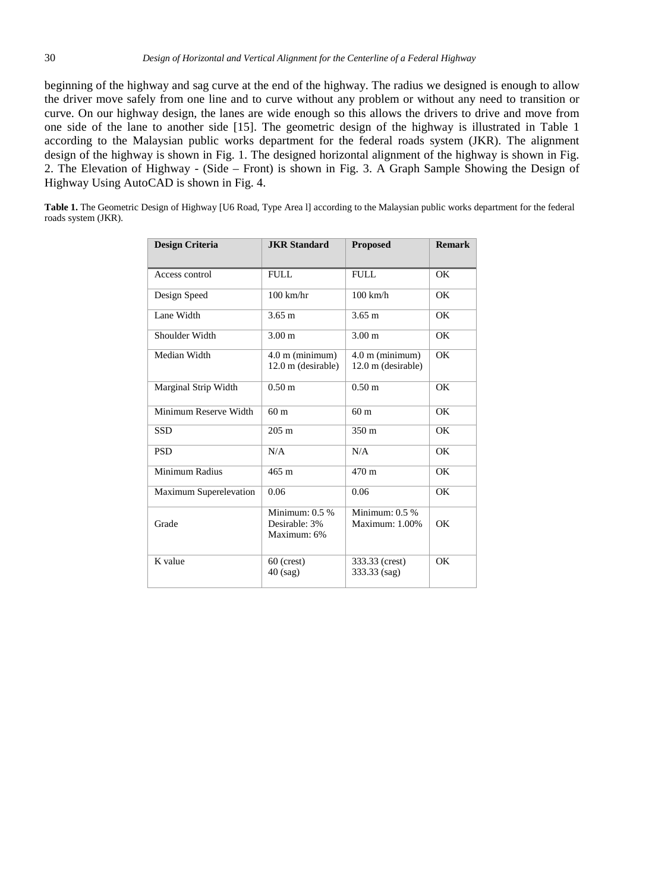beginning of the highway and sag curve at the end of the highway. The radius we designed is enough to allow the driver move safely from one line and to curve without any problem or without any need to transition or curve. On our highway design, the lanes are wide enough so this allows the drivers to drive and move from one side of the lane to another side [15]. The geometric design of the highway is illustrated in Table 1 according to the Malaysian public works department for the federal roads system (JKR). The alignment design of the highway is shown in Fig. 1. The designed horizontal alignment of the highway is shown in Fig. 2. The Elevation of Highway - (Side – Front) is shown in Fig. 3. A Graph Sample Showing the Design of Highway Using AutoCAD is shown in Fig. 4.

Table 1. The Geometric Design of Highway [U6 Road, Type Area 1] according to the Malaysian public works department for the federal roads system (JKR).

| <b>Design Criteria</b> | <b>JKR</b> Standard                              | <b>Proposed</b>                         | <b>Remark</b> |  |  |
|------------------------|--------------------------------------------------|-----------------------------------------|---------------|--|--|
| Access control         | FULL.                                            | FULL.                                   | OK            |  |  |
| Design Speed           | $100$ km/hr                                      | $100$ km/h                              | OK            |  |  |
| Lane Width             | $3.65 \text{ m}$                                 | $3.65 \text{ m}$                        | OK            |  |  |
| Shoulder Width         | 3.00 <sub>m</sub>                                | 3.00 <sub>m</sub>                       | OK            |  |  |
| Median Width           | $4.0$ m (minimum)<br>12.0 m (desirable)          | $4.0$ m (minimum)<br>12.0 m (desirable) | OK            |  |  |
| Marginal Strip Width   | $0.50 \text{ m}$                                 | 0.50 <sub>m</sub>                       | OK            |  |  |
| Minimum Reserve Width  | 60 <sub>m</sub>                                  | 60 <sub>m</sub>                         | OK            |  |  |
| <b>SSD</b>             | $205 \text{ m}$                                  | 350 <sub>m</sub>                        | OK            |  |  |
| <b>PSD</b>             | N/A                                              | N/A                                     | OK            |  |  |
| Minimum Radius         | $465 \text{ m}$                                  | $470 \text{ m}$                         | OK            |  |  |
| Maximum Superelevation | 0.06                                             | 0.06                                    | OK            |  |  |
| Grade                  | Minimum: $0.5\%$<br>Desirable: 3%<br>Maximum: 6% | Minimum: 0.5 %<br>Maximum: 1.00%        | OK            |  |  |
| K value                | $60$ (crest)<br>$40$ (sag)                       | 333.33 (crest)<br>333.33 (sag)          | OK            |  |  |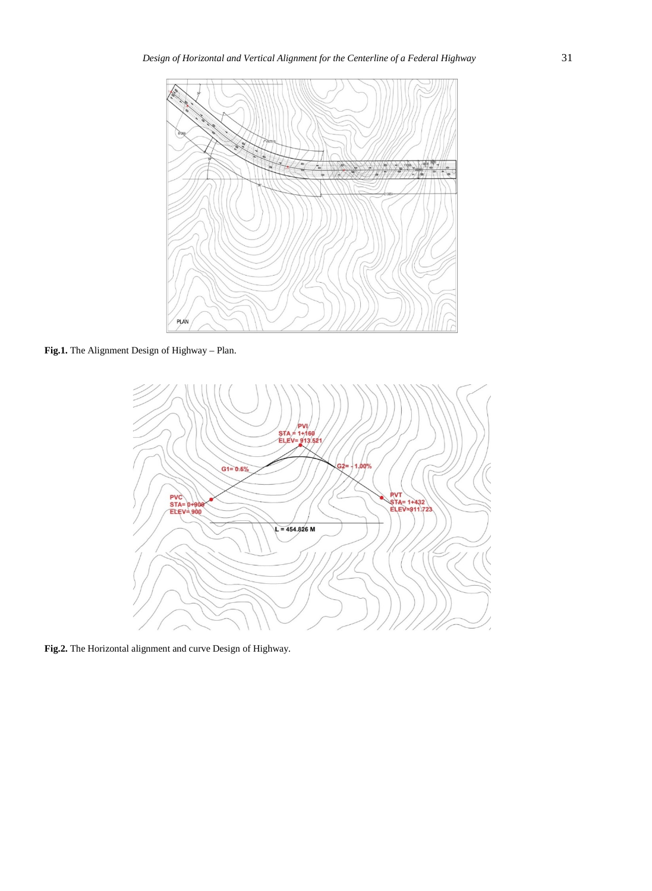

**Fig.1.** The Alignment Design of Highway – Plan.



**Fig.2.** The Horizontal alignment and curve Design of Highway.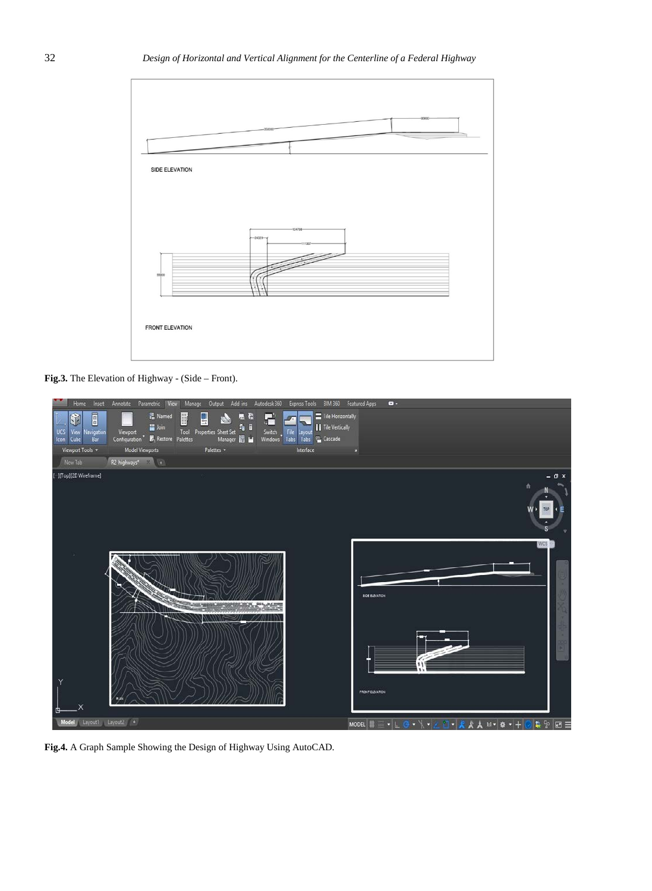

**Fig.3.** The Elevation of Highway - (Side – Front).



**Fig.4.** A Graph Sample Showing the Design of Highway Using AutoCAD.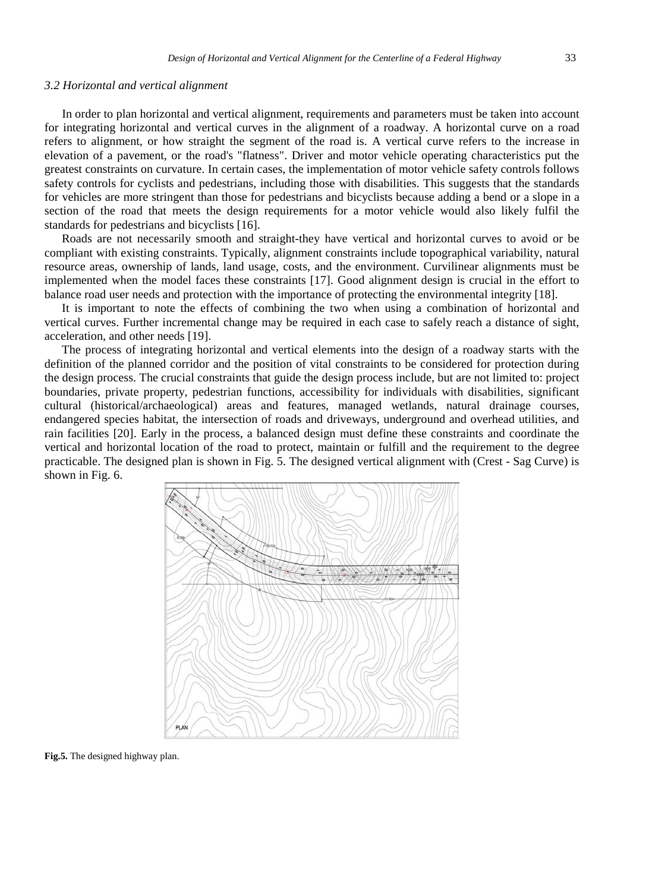## *3.2 Horizontal and vertical alignment*

In order to plan horizontal and vertical alignment, requirements and parameters must be taken into account for integrating horizontal and vertical curves in the alignment of a roadway. A horizontal curve on a road refers to alignment, or how straight the segment of the road is. A vertical curve refers to the increase in elevation of a pavement, or the road's "flatness". Driver and motor vehicle operating characteristics put the greatest constraints on curvature. In certain cases, the implementation of motor vehicle safety controls follows safety controls for cyclists and pedestrians, including those with disabilities. This suggests that the standards for vehicles are more stringent than those for pedestrians and bicyclists because adding a bend or a slope in a section of the road that meets the design requirements for a motor vehicle would also likely fulfil the standards for pedestrians and bicyclists [16].

Roads are not necessarily smooth and straight-they have vertical and horizontal curves to avoid or be compliant with existing constraints. Typically, alignment constraints include topographical variability, natural resource areas, ownership of lands, land usage, costs, and the environment. Curvilinear alignments must be implemented when the model faces these constraints [17]. Good alignment design is crucial in the effort to balance road user needs and protection with the importance of protecting the environmental integrity [18].

It is important to note the effects of combining the two when using a combination of horizontal and vertical curves. Further incremental change may be required in each case to safely reach a distance of sight, acceleration, and other needs [19].

The process of integrating horizontal and vertical elements into the design of a roadway starts with the definition of the planned corridor and the position of vital constraints to be considered for protection during the design process. The crucial constraints that guide the design process include, but are not limited to: project boundaries, private property, pedestrian functions, accessibility for individuals with disabilities, significant cultural (historical/archaeological) areas and features, managed wetlands, natural drainage courses, endangered species habitat, the intersection of roads and driveways, underground and overhead utilities, and rain facilities [20]. Early in the process, a balanced design must define these constraints and coordinate the vertical and horizontal location of the road to protect, maintain or fulfill and the requirement to the degree practicable. The designed plan is shown in Fig. 5. The designed vertical alignment with (Crest - Sag Curve) is shown in Fig. 6.



**Fig.5.** The designed highway plan.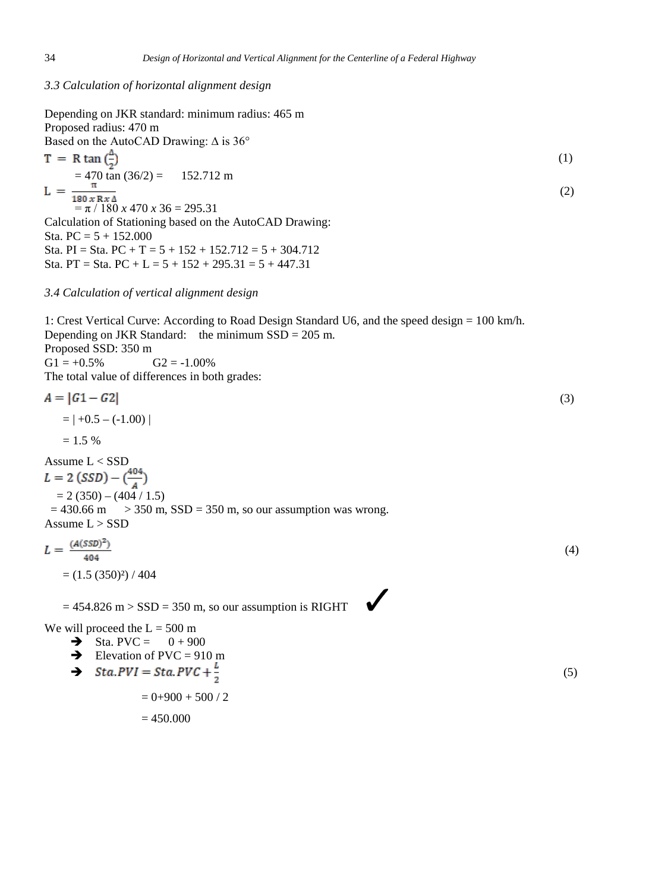# *3.3 Calculation of horizontal alignment design*

Depending on JKR standard: minimum radius: 465 m Proposed radius: 470 m

Based on the AutoCAD Drawing: ∆ is 36° (1)  $= 470 \text{ tan} (36/2) = 152.712 \text{ m}$  $L =$  $\frac{180 \times R}{\pi}$ <br>=  $\pi$  / 180 *x* 470 *x* 36 = 295.31  $(2)$ Calculation of Stationing based on the AutoCAD Drawing: Sta.  $PC = 5 + 152.000$ 

Sta. PI = Sta. PC + T =  $5 + 152 + 152.712 = 5 + 304.712$ Sta. PT = Sta. PC + L =  $5 + 152 + 295.31 = 5 + 447.31$ 

## *3.4 Calculation of vertical alignment design*

1: Crest Vertical Curve: According to Road Design Standard U6, and the speed design = 100 km/h. Depending on JKR Standard: the minimum  $SSD = 205$  m. Proposed SSD: 350 m  $G1 = +0.5\%$   $G2 = -1.00\%$ The total value of differences in both grades:  $\left(3\right)$  $=$   $|+0.5 - (-1.00)|$  $= 1.5 %$ Assume L < SSD<br>  $L = 2 (SSD) - (\frac{404}{A})$ 

 $\checkmark$ 

 $= 2 (350) - (404 / 1.5)$  $= 430.66$  m  $> 350$  m, SSD = 350 m, so our assumption was wrong. Assume L > SSD

$$
L = \frac{(A(\text{SSD})^2)}{404}
$$
  
= (1.5 (350)<sup>2</sup>) / 404 (4)

 $= 454.826$  m  $>$  SSD  $= 350$  m, so our assumption is RIGHT

We will proceed the  $L = 500$  m

- $\rightarrow$  Sta. PVC = 0 + 900
- $\rightarrow$  Elevation of PVC = 910 m
- $\rightarrow$  Sta.PVI = Sta.PVC +  $\frac{L}{2}$  (5)

 $= 0+900 + 500 / 2$ 

 $= 450.000$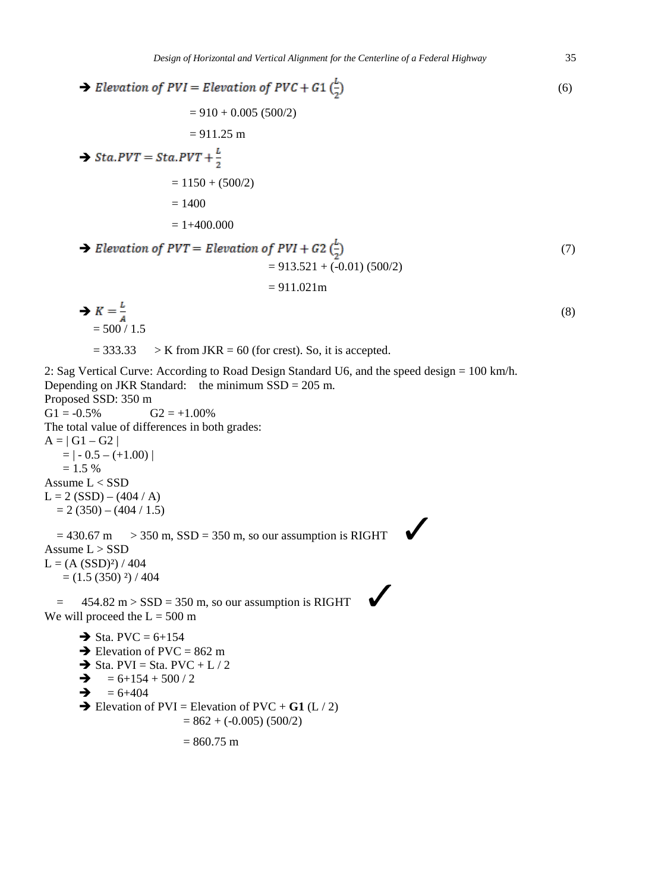→ *Elevation of PVI* = *Elevation of PVC* + *G1* 
$$
\left(\frac{L}{2}\right)
$$

\n
$$
= 910 + 0.005 (500/2)
$$

\n
$$
= 911.25 \text{ m}
$$

\n→ *Sta.PVT* = *Sta.PVT* +  $\frac{L}{2}$ 

\n
$$
= 1150 + (500/2)
$$

\n
$$
= 1400
$$

\n
$$
= 1400.000
$$

\n→ *Elevation of PVT* = *Elevation of PVI* + *G2*  $\left(\frac{L}{2}\right)$ 

\n
$$
= 913.521 + (-0.01) (500/2)
$$

\n
$$
= 911.021 \text{ m}
$$

\n→  $K = \frac{L}{A}$ 

\n
$$
= 500 / 1.5
$$

\n
$$
= 333.33 \rightarrow K
$$
 from JKR = 60 (for crest). So, it is accepted.

\n2: Sag Vertical Curve: According to Road Design Standard U6, and the speed design = 100 km/h.

\nDepending on JKR Standard: the minimum SSD = 205 m.

\nProposed SSD: 350 m

\nGI = -0.5%

\nG1 = -0.5% G2 = +1.00%

\nII = 1 - 0.5 = (+1.00)

\nI = 1.5 %

\nAsume L < SSD

\nI := 2 (SSD) - (404 / A)

 $L =$  $= 2 (350) - (404 / 1.5)$ 

 $= 430.67 \text{ m}$  > 350 m, SSD = 350 m, so our assumption is RIGHT Assume L > SSD  $L = (A (SSD)<sup>2</sup>) / 404$ 

 $=(1.5 (350) \cdot 2) / 404$ 

 $=$  454.82 m > SSD = 350 m, so our assumption is RIGHT We will proceed the  $L = 500$  m

 $\rightarrow$  Sta. PVC = 6+154  $\rightarrow$  Elevation of PVC = 862 m  $\rightarrow$  Sta. PVI = Sta. PVC + L / 2  $\rightarrow$  = 6+154 + 500 / 2

 $\rightarrow$  = 6+404

 $\rightarrow$  Elevation of PVI = Elevation of PVC + **G1** (L / 2)  $= 862 + (-0.005) (500/2)$ 

 $= 860.75$  m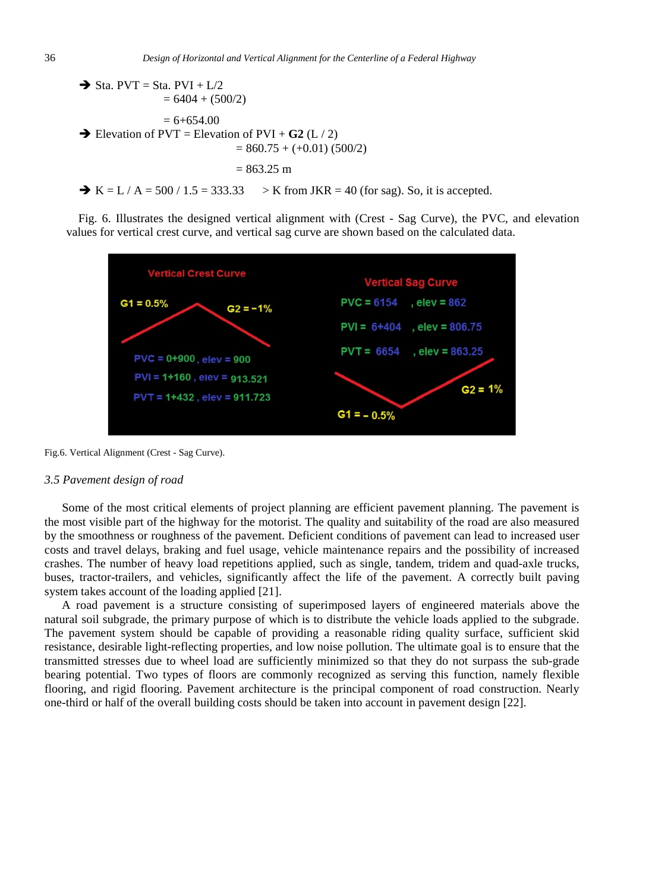$\rightarrow$  Sta. PVT = Sta. PVI + L/2  $= 6404 + (500/2)$  $= 6+654.00$  $\rightarrow$  Elevation of PVT = Elevation of PVI + **G2** (L / 2)  $= 860.75 + (+0.01) (500/2)$  $= 863.25$  m

 $\rightarrow K = L / A = 500 / 1.5 = 333.33$  > K from JKR = 40 (for sag). So, it is accepted.

Fig. 6. Illustrates the designed vertical alignment with (Crest - Sag Curve), the PVC, and elevation values for vertical crest curve, and vertical sag curve are shown based on the calculated data.



Fig.6. Vertical Alignment (Crest - Sag Curve).

### *3.5 Pavement design of road*

Some of the most critical elements of project planning are efficient pavement planning. The pavement is the most visible part of the highway for the motorist. The quality and suitability of the road are also measured by the smoothness or roughness of the pavement. Deficient conditions of pavement can lead to increased user costs and travel delays, braking and fuel usage, vehicle maintenance repairs and the possibility of increased crashes. The number of heavy load repetitions applied, such as single, tandem, tridem and quad-axle trucks, buses, tractor-trailers, and vehicles, significantly affect the life of the pavement. A correctly built paving system takes account of the loading applied [21].

A road pavement is a structure consisting of superimposed layers of engineered materials above the natural soil subgrade, the primary purpose of which is to distribute the vehicle loads applied to the subgrade. The pavement system should be capable of providing a reasonable riding quality surface, sufficient skid resistance, desirable light-reflecting properties, and low noise pollution. The ultimate goal is to ensure that the transmitted stresses due to wheel load are sufficiently minimized so that they do not surpass the sub-grade bearing potential. Two types of floors are commonly recognized as serving this function, namely flexible flooring, and rigid flooring. Pavement architecture is the principal component of road construction. Nearly one-third or half of the overall building costs should be taken into account in pavement design [22].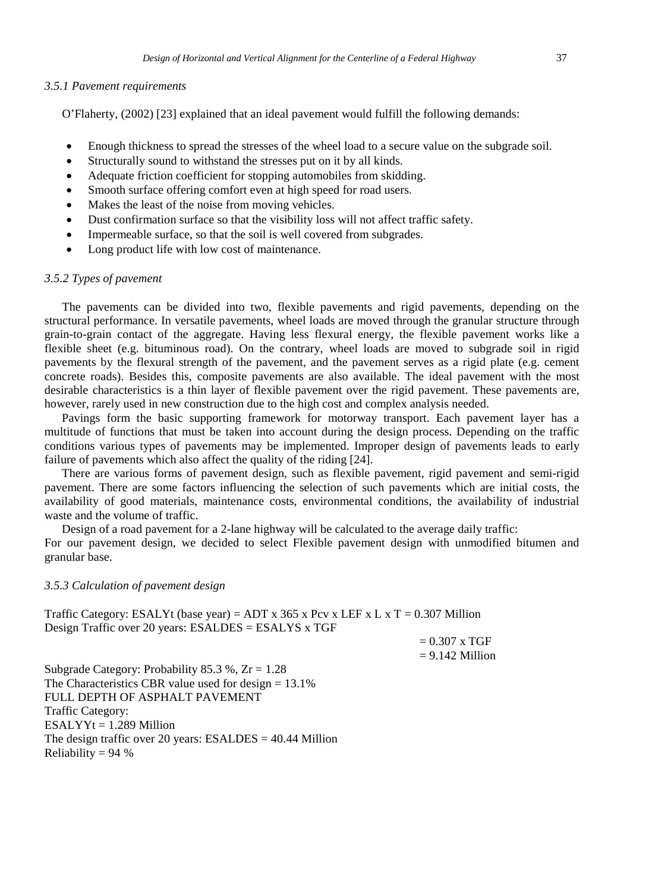#### *3.5.1 Pavement requirements*

O'Flaherty, (2002) [23] explained that an ideal pavement would fulfill the following demands:

- Enough thickness to spread the stresses of the wheel load to a secure value on the subgrade soil.
- Structurally sound to withstand the stresses put on it by all kinds.
- Adequate friction coefficient for stopping automobiles from skidding.
- Smooth surface offering comfort even at high speed for road users.
- Makes the least of the noise from moving vehicles.
- Dust confirmation surface so that the visibility loss will not affect traffic safety.
- Impermeable surface, so that the soil is well covered from subgrades.
- Long product life with low cost of maintenance.

# *3.5.2 Types of pavement*

The pavements can be divided into two, flexible pavements and rigid pavements, depending on the structural performance. In versatile pavements, wheel loads are moved through the granular structure through grain-to-grain contact of the aggregate. Having less flexural energy, the flexible pavement works like a flexible sheet (e.g. bituminous road). On the contrary, wheel loads are moved to subgrade soil in rigid pavements by the flexural strength of the pavement, and the pavement serves as a rigid plate (e.g. cement concrete roads). Besides this, composite pavements are also available. The ideal pavement with the most desirable characteristics is a thin layer of flexible pavement over the rigid pavement. These pavements are, however, rarely used in new construction due to the high cost and complex analysis needed.

Pavings form the basic supporting framework for motorway transport. Each pavement layer has a multitude of functions that must be taken into account during the design process. Depending on the traffic conditions various types of pavements may be implemented. Improper design of pavements leads to early failure of pavements which also affect the quality of the riding [24].

There are various forms of pavement design, such as flexible pavement, rigid pavement and semi-rigid pavement. There are some factors influencing the selection of such pavements which are initial costs, the availability of good materials, maintenance costs, environmental conditions, the availability of industrial waste and the volume of traffic.

Design of a road pavement for a 2-lane highway will be calculated to the average daily traffic: For our pavement design, we decided to select Flexible pavement design with unmodified bitumen and granular base.

## *3.5.3 Calculation of pavement design*

Traffic Category: ESALYt (base year) = ADT x 365 x Pcv x LEF x L x T = 0.307 Million Design Traffic over 20 years: ESALDES = ESALYS x TGF

> $= 0.307$  x TGF  $= 9.142$  Million

Subgrade Category: Probability 85.3 %,  $Zr = 1.28$ The Characteristics CBR value used for design = 13.1% FULL DEPTH OF ASPHALT PAVEMENT Traffic Category:  $ESALYYt = 1.289$  Million The design traffic over 20 years: ESALDES = 40.44 Million Reliability =  $94%$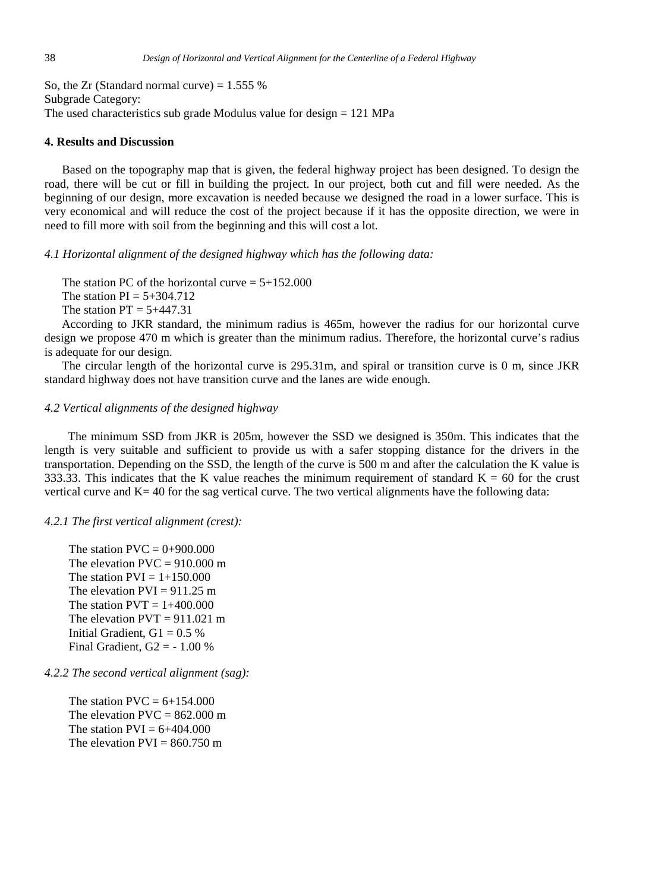So, the Zr (Standard normal curve)  $= 1.555$  % Subgrade Category: The used characteristics sub grade Modulus value for design = 121 MPa

## **4. Results and Discussion**

Based on the topography map that is given, the federal highway project has been designed. To design the road, there will be cut or fill in building the project. In our project, both cut and fill were needed. As the beginning of our design, more excavation is needed because we designed the road in a lower surface. This is very economical and will reduce the cost of the project because if it has the opposite direction, we were in need to fill more with soil from the beginning and this will cost a lot.

*4.1 Horizontal alignment of the designed highway which has the following data:*

The station PC of the horizontal curve  $= 5+152.000$ The station  $PI = 5+304.712$ 

The station  $PT = 5+447.31$ 

According to JKR standard, the minimum radius is 465m, however the radius for our horizontal curve design we propose 470 m which is greater than the minimum radius. Therefore, the horizontal curve's radius is adequate for our design.

The circular length of the horizontal curve is 295.31m, and spiral or transition curve is 0 m, since JKR standard highway does not have transition curve and the lanes are wide enough.

# *4.2 Vertical alignments of the designed highway*

The minimum SSD from JKR is 205m, however the SSD we designed is 350m. This indicates that the length is very suitable and sufficient to provide us with a safer stopping distance for the drivers in the transportation. Depending on the SSD, the length of the curve is 500 m and after the calculation the K value is 333.33. This indicates that the K value reaches the minimum requirement of standard  $K = 60$  for the crust vertical curve and K= 40 for the sag vertical curve. The two vertical alignments have the following data:

# *4.2.1 The first vertical alignment (crest):*

The station  $PVC = 0+900.000$ The elevation  $PVC = 910.000$  m The station  $PVI = 1+150.000$ The elevation  $PVI = 911.25$  m The station  $PVT = 1+400.000$ The elevation  $PVT = 911.021$  m Initial Gradient,  $G1 = 0.5$  % Final Gradient,  $G2 = -1.00\%$ 

*4.2.2 The second vertical alignment (sag):*

The station  $PVC = 6+154.000$ The elevation  $PVC = 862.000$  m The station  $PVI = 6+404.000$ The elevation  $PVI = 860.750$  m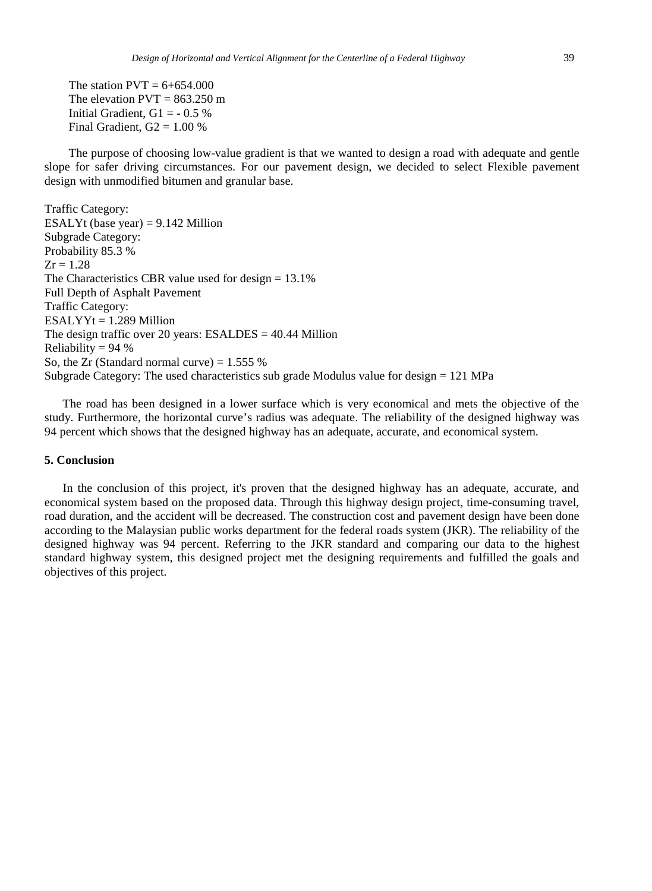The station  $PVT = 6+654.000$ The elevation  $PVT = 863.250$  m Initial Gradient,  $G1 = -0.5\%$ Final Gradient,  $G2 = 1.00 %$ 

 The purpose of choosing low-value gradient is that we wanted to design a road with adequate and gentle slope for safer driving circumstances. For our pavement design, we decided to select Flexible pavement design with unmodified bitumen and granular base.

Traffic Category: ESALYt (base year)  $= 9.142$  Million Subgrade Category: Probability 85.3 %  $Zr = 1.28$ The Characteristics CBR value used for design = 13.1% Full Depth of Asphalt Pavement Traffic Category:  $ESALYYt = 1.289$  Million The design traffic over 20 years: ESALDES = 40.44 Million Reliability =  $94\%$ So, the Zr (Standard normal curve)  $= 1.555$  % Subgrade Category: The used characteristics sub grade Modulus value for design = 121 MPa

 The road has been designed in a lower surface which is very economical and mets the objective of the study. Furthermore, the horizontal curve's radius was adequate. The reliability of the designed highway was 94 percent which shows that the designed highway has an adequate, accurate, and economical system.

#### **5. Conclusion**

 In the conclusion of this project, it's proven that the designed highway has an adequate, accurate, and economical system based on the proposed data. Through this highway design project, time-consuming travel, road duration, and the accident will be decreased. The construction cost and pavement design have been done according to the Malaysian public works department for the federal roads system (JKR). The reliability of the designed highway was 94 percent. Referring to the JKR standard and comparing our data to the highest standard highway system, this designed project met the designing requirements and fulfilled the goals and objectives of this project.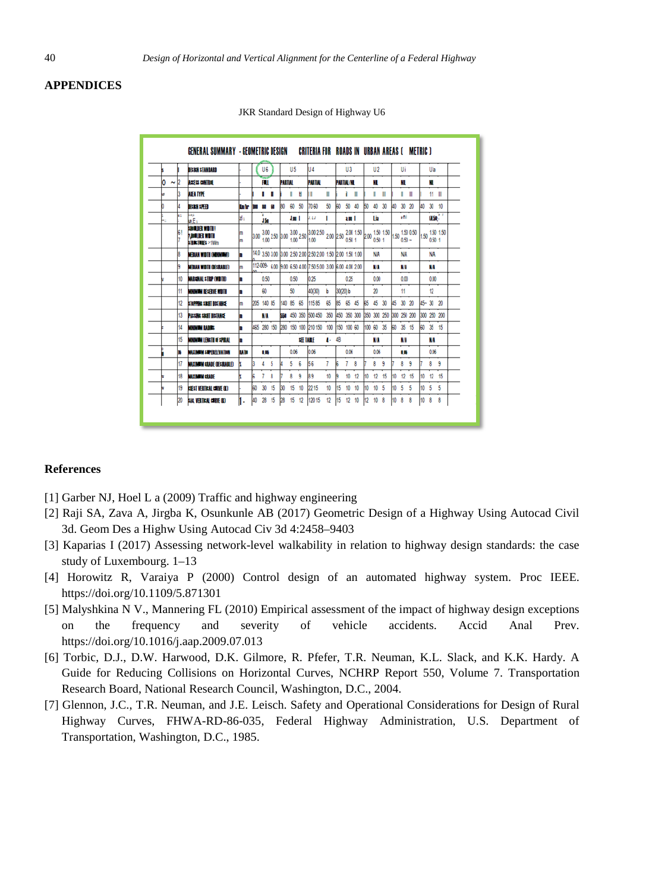# **APPENDICES**

|                   |     | DESIGN STANDARD                                                     |              |     | U6         |    |         | U <sub>5</sub> |         | U4                                                                                                                                                                                                                                                                                                                                                                                                                  |          |                   | U <sub>3</sub> |    |       | U <sub>2</sub> |    |    | Ui        |             |                 | Ula         |                |
|-------------------|-----|---------------------------------------------------------------------|--------------|-----|------------|----|---------|----------------|---------|---------------------------------------------------------------------------------------------------------------------------------------------------------------------------------------------------------------------------------------------------------------------------------------------------------------------------------------------------------------------------------------------------------------------|----------|-------------------|----------------|----|-------|----------------|----|----|-----------|-------------|-----------------|-------------|----------------|
| lo<br>$\tilde{ }$ | 12  | <b>THE SECTION</b>                                                  |              |     | FЩ         |    | PARTIAL |                |         | PARTIAL                                                                                                                                                                                                                                                                                                                                                                                                             |          | <b>PARTIAL NL</b> |                |    |       | м              |    |    | NT.       |             |                 | ш           |                |
|                   |     |                                                                     |              |     |            |    |         |                |         |                                                                                                                                                                                                                                                                                                                                                                                                                     |          |                   |                |    |       |                |    |    |           |             |                 |             |                |
| Ŀт                | ß   | AMEA TYPE                                                           |              |     | п          | п  |         | ı              | Ħ       |                                                                                                                                                                                                                                                                                                                                                                                                                     | П        |                   | ì              | П  |       | п              | п  |    | ı         | Ш           |                 | 11          | Ш              |
|                   |     | <b>MERCHAND</b><br>1411                                             | <b>Carlo</b> |     | ¥          | м  | m       | 60             | 50      | 7060                                                                                                                                                                                                                                                                                                                                                                                                                | 50       | m                 | 50 40          |    | ю     | 40             | 30 | ۵  | 30 20     |             | L۵              | $30 - 10$   |                |
| ÷                 | k1  | wE.                                                                 | ы.           |     | м          |    |         | an t           |         | u. Lu                                                                                                                                                                                                                                                                                                                                                                                                               | ٠        |                   | aul            |    |       | 1h             |    |    | ÷ni       |             |                 | us:         | $\blacksquare$ |
|                   | ŝΙ  | <b>BOLDENTILI</b><br><b>ZALICENTIN</b><br><b>STRICTURES &gt; Wm</b> | m<br>m       |     |            |    |         |                |         | $3.00\begin{array}{l} 3.00\end{array} 2.50\begin{array}{l} 2.00\end{array} \begin{array}{l} 3.00\end{array} 2.50\begin{array}{l} 3.00\end{array} 2.50\begin{array}{l} 2.00\end{array} 2.00\begin{array}{l} 2.00\end{array} \begin{array}{l} 1.50\end{array} \begin{array}{l} 1.50\end{array} \begin{array}{l} 1.50\end{array} \begin{array}{l} 1.50\end{array} \begin{array}{l} 1.50\end{array} \begin{array}{l} 1$ |          |                   |                |    |       |                |    |    |           |             |                 | 050 1       | 1.50 1.50 1.50 |
|                   | ß   | MFILAN WIDTH (MANAMAD)                                              | ٠            |     |            |    |         |                |         | 14.0 3.50 3.00 3.00 2.50 2.00 2.50 2.00 1.50 2.00 1.50 1.00                                                                                                                                                                                                                                                                                                                                                         |          |                   |                |    |       | NA             |    |    | <b>NA</b> |             |                 | NA          |                |
|                   | G   | MFILAN WIDTH OFSIBARI FI                                            | m            |     |            |    |         |                |         | 112-009- 6.00 9.00 6.50 4.00 7.50 5.00 3.00 6.00 4.00 2.00                                                                                                                                                                                                                                                                                                                                                          |          |                   |                |    |       | w              |    |    | W         |             |                 | WA          |                |
|                   | HO. | <b>MARSHAL STRP (WDTD)</b>                                          | п            |     | 0.50       |    |         | 0.50           |         | 025                                                                                                                                                                                                                                                                                                                                                                                                                 |          |                   | 025            |    |       | 0.00           |    |    | 0.00      |             |                 | 0.00        |                |
|                   | 11  | MINIMUM BESEVE WOTH                                                 | п            |     | ۵O         |    |         | 50             |         | 40/301                                                                                                                                                                                                                                                                                                                                                                                                              | ь        | 30/201b           |                |    |       | 20             |    |    | 11        |             |                 | 12          |                |
|                   | 12  | <b>STOPPING SHAFT DISTANCE</b>                                      | m            |     | 205 140 85 |    | 140 85  |                | 65      | 11585                                                                                                                                                                                                                                                                                                                                                                                                               | 65       | 85 65 45          |                |    | R5 45 |                | 30 |    | 45 30 20  |             |                 | 45~ 30 20   |                |
|                   | ł3  | <b>PASSAN SIGHT DISTANCE</b>                                        | п            |     | w          |    |         |                |         | <b>550 450 350 500 450</b>                                                                                                                                                                                                                                                                                                                                                                                          | 350      | 450 350 300       |                |    |       | 350 300 250    |    |    |           | 300 250 200 |                 | 300 250 200 |                |
|                   | H4  | или и в                                                             | ٠            |     |            |    |         |                |         | 465 280 150 280 150 100 210 150                                                                                                                                                                                                                                                                                                                                                                                     | 100      | 150 100 60        |                |    |       | 100 60 35      |    | 60 | 35 15     |             |                 | 60 35 15    |                |
|                   | 15  | MINIMUM ISIGNE OF SPIRAL                                            | п            |     |            |    |         |                | AF INTE |                                                                                                                                                                                                                                                                                                                                                                                                                     | $4 - 48$ |                   |                |    |       | MA             |    |    | WA        |             |                 | WA          |                |
|                   | r   | <b>MAYINEM SEPREDIKATION</b>                                        | <b>UD</b>    |     | в          |    |         | 0.06           |         | loos                                                                                                                                                                                                                                                                                                                                                                                                                |          |                   | 0.06           |    |       | 0.06           |    |    | Ш         |             |                 | 006         |                |
|                   | 17  | MAXIMUM ERADE DESIRABLEI                                            |              |     | 4          | 5  |         | 5              | 6       | 56                                                                                                                                                                                                                                                                                                                                                                                                                  | 7        |                   | 7              | 8  |       | 8              | ۹  |    | 8         | ۹           |                 | 8           | ۹              |
|                   | ł8  | <b>MAY NEW CRAIN</b>                                                |              |     | 7          | 8  |         | 8              | 9       | 89                                                                                                                                                                                                                                                                                                                                                                                                                  | 10       |                   | 10             | 12 | 10    | 12             | 15 | 10 | 12        | 15          | 10              | 12          | 15             |
|                   | 19  | COST VERTICAL CONVERTI                                              |              | ko  | 30         | 15 | 30      | 15             | 10      | 2215                                                                                                                                                                                                                                                                                                                                                                                                                | 10       | 15                | 10             | 10 |       | 10             | 5  | 10 | 5         | 5           | 10              | 5           | 5              |
|                   | l20 | SAR VERTICAL CARVE OD                                               | 1.           | l40 | 28 15      |    | 28      | 15             | 12      | 120 15                                                                                                                                                                                                                                                                                                                                                                                                              | 12       | h5                | 12             | 10 | 12    | 10             | 8  | 10 | 8         | 8           | 10 <sup>8</sup> |             | 8              |

JKR Standard Design of Highway U6

# **References**

- [1] Garber NJ, Hoel L a (2009) Traffic and highway engineering
- [2] Raji SA, Zava A, Jirgba K, Osunkunle AB (2017) Geometric Design of a Highway Using Autocad Civil 3d. Geom Des a Highw Using Autocad Civ 3d 4:2458–9403
- [3] Kaparias I (2017) Assessing network-level walkability in relation to highway design standards: the case study of Luxembourg. 1–13
- [4] Horowitz R, Varaiya P (2000) Control design of an automated highway system. Proc IEEE. https://doi.org/10.1109/5.871301
- [5] Malyshkina N V., Mannering FL (2010) Empirical assessment of the impact of highway design exceptions on the frequency and severity of vehicle accidents. Accid Anal Prev. https://doi.org/10.1016/j.aap.2009.07.013
- [6] Torbic, D.J., D.W. Harwood, D.K. Gilmore, R. Pfefer, T.R. Neuman, K.L. Slack, and K.K. Hardy. A Guide for Reducing Collisions on Horizontal Curves, NCHRP Report 550, Volume 7. Transportation Research Board, National Research Council, Washington, D.C., 2004.
- [7] Glennon, J.C., T.R. Neuman, and J.E. Leisch. Safety and Operational Considerations for Design of Rural Highway Curves, FHWA-RD-86-035, Federal Highway Administration, U.S. Department of Transportation, Washington, D.C., 1985.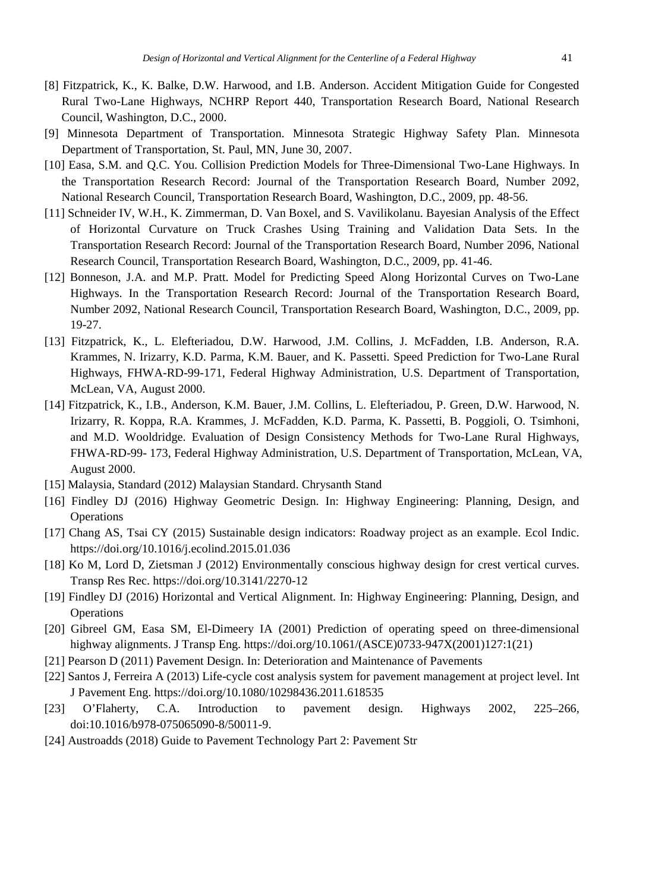- [8] Fitzpatrick, K., K. Balke, D.W. Harwood, and I.B. Anderson. Accident Mitigation Guide for Congested Rural Two-Lane Highways, NCHRP Report 440, Transportation Research Board, National Research Council, Washington, D.C., 2000.
- [9] Minnesota Department of Transportation. Minnesota Strategic Highway Safety Plan. Minnesota Department of Transportation, St. Paul, MN, June 30, 2007.
- [10] Easa, S.M. and Q.C. You. Collision Prediction Models for Three-Dimensional Two-Lane Highways. In the Transportation Research Record: Journal of the Transportation Research Board, Number 2092, National Research Council, Transportation Research Board, Washington, D.C., 2009, pp. 48-56.
- [11] Schneider IV, W.H., K. Zimmerman, D. Van Boxel, and S. Vavilikolanu. Bayesian Analysis of the Effect of Horizontal Curvature on Truck Crashes Using Training and Validation Data Sets. In the Transportation Research Record: Journal of the Transportation Research Board, Number 2096, National Research Council, Transportation Research Board, Washington, D.C., 2009, pp. 41-46.
- [12] Bonneson, J.A. and M.P. Pratt. Model for Predicting Speed Along Horizontal Curves on Two-Lane Highways. In the Transportation Research Record: Journal of the Transportation Research Board, Number 2092, National Research Council, Transportation Research Board, Washington, D.C., 2009, pp. 19-27.
- [13] Fitzpatrick, K., L. Elefteriadou, D.W. Harwood, J.M. Collins, J. McFadden, I.B. Anderson, R.A. Krammes, N. Irizarry, K.D. Parma, K.M. Bauer, and K. Passetti. Speed Prediction for Two-Lane Rural Highways, FHWA-RD-99-171, Federal Highway Administration, U.S. Department of Transportation, McLean, VA, August 2000.
- [14] Fitzpatrick, K., I.B., Anderson, K.M. Bauer, J.M. Collins, L. Elefteriadou, P. Green, D.W. Harwood, N. Irizarry, R. Koppa, R.A. Krammes, J. McFadden, K.D. Parma, K. Passetti, B. Poggioli, O. Tsimhoni, and M.D. Wooldridge. Evaluation of Design Consistency Methods for Two-Lane Rural Highways, FHWA-RD-99- 173, Federal Highway Administration, U.S. Department of Transportation, McLean, VA, August 2000.
- [15] Malaysia, Standard (2012) Malaysian Standard. Chrysanth Stand
- [16] Findley DJ (2016) Highway Geometric Design. In: Highway Engineering: Planning, Design, and **Operations**
- [17] Chang AS, Tsai CY (2015) Sustainable design indicators: Roadway project as an example. Ecol Indic. https://doi.org/10.1016/j.ecolind.2015.01.036
- [18] Ko M, Lord D, Zietsman J (2012) Environmentally conscious highway design for crest vertical curves. Transp Res Rec. https://doi.org/10.3141/2270-12
- [19] Findley DJ (2016) Horizontal and Vertical Alignment. In: Highway Engineering: Planning, Design, and **Operations**
- [20] Gibreel GM, Easa SM, El-Dimeery IA (2001) Prediction of operating speed on three-dimensional highway alignments. J Transp Eng. https://doi.org/10.1061/(ASCE)0733-947X(2001)127:1(21)
- [21] Pearson D (2011) Pavement Design. In: Deterioration and Maintenance of Pavements
- [22] Santos J, Ferreira A (2013) Life-cycle cost analysis system for pavement management at project level. Int J Pavement Eng. https://doi.org/10.1080/10298436.2011.618535
- [23] O'Flaherty, C.A. Introduction to pavement design. Highways 2002, 225–266, doi:10.1016/b978-075065090-8/50011-9.
- [24] Austroadds (2018) Guide to Pavement Technology Part 2: Pavement Str